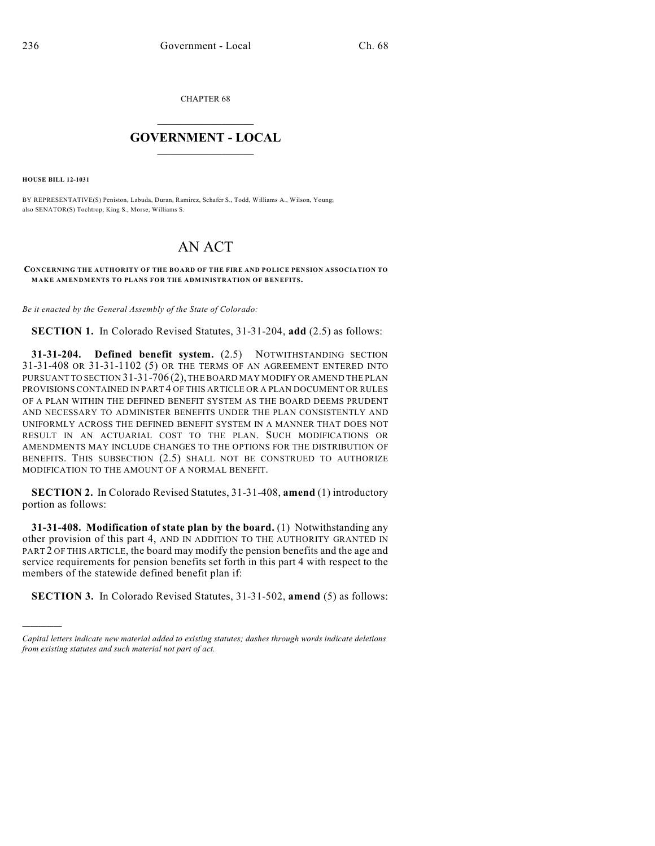CHAPTER 68

## $\overline{\phantom{a}}$  . The set of the set of the set of the set of the set of the set of the set of the set of the set of the set of the set of the set of the set of the set of the set of the set of the set of the set of the set o **GOVERNMENT - LOCAL**  $\_$

**HOUSE BILL 12-1031**

)))))

BY REPRESENTATIVE(S) Peniston, Labuda, Duran, Ramirez, Schafer S., Todd, Williams A., Wilson, Young; also SENATOR(S) Tochtrop, King S., Morse, Williams S.

## AN ACT

**CONCERNING THE AUTHORITY OF THE BOARD OF THE FIRE AND POLICE PENSION ASSOCIATION TO MAKE AMENDMENTS TO PLANS FOR THE ADMINISTRATION OF BENEFITS.**

*Be it enacted by the General Assembly of the State of Colorado:*

**SECTION 1.** In Colorado Revised Statutes, 31-31-204, **add** (2.5) as follows:

**31-31-204. Defined benefit system.** (2.5) NOTWITHSTANDING SECTION 31-31-408 OR 31-31-1102 (5) OR THE TERMS OF AN AGREEMENT ENTERED INTO PURSUANT TO SECTION 31-31-706 (2), THE BOARD MAY MODIFY OR AMEND THE PLAN PROVISIONS CONTAINED IN PART 4 OF THIS ARTICLE OR A PLAN DOCUMENT OR RULES OF A PLAN WITHIN THE DEFINED BENEFIT SYSTEM AS THE BOARD DEEMS PRUDENT AND NECESSARY TO ADMINISTER BENEFITS UNDER THE PLAN CONSISTENTLY AND UNIFORMLY ACROSS THE DEFINED BENEFIT SYSTEM IN A MANNER THAT DOES NOT RESULT IN AN ACTUARIAL COST TO THE PLAN. SUCH MODIFICATIONS OR AMENDMENTS MAY INCLUDE CHANGES TO THE OPTIONS FOR THE DISTRIBUTION OF BENEFITS. THIS SUBSECTION (2.5) SHALL NOT BE CONSTRUED TO AUTHORIZE MODIFICATION TO THE AMOUNT OF A NORMAL BENEFIT.

**SECTION 2.** In Colorado Revised Statutes, 31-31-408, **amend** (1) introductory portion as follows:

**31-31-408. Modification of state plan by the board.** (1) Notwithstanding any other provision of this part 4, AND IN ADDITION TO THE AUTHORITY GRANTED IN PART 2 OF THIS ARTICLE, the board may modify the pension benefits and the age and service requirements for pension benefits set forth in this part 4 with respect to the members of the statewide defined benefit plan if:

**SECTION 3.** In Colorado Revised Statutes, 31-31-502, **amend** (5) as follows:

*Capital letters indicate new material added to existing statutes; dashes through words indicate deletions from existing statutes and such material not part of act.*